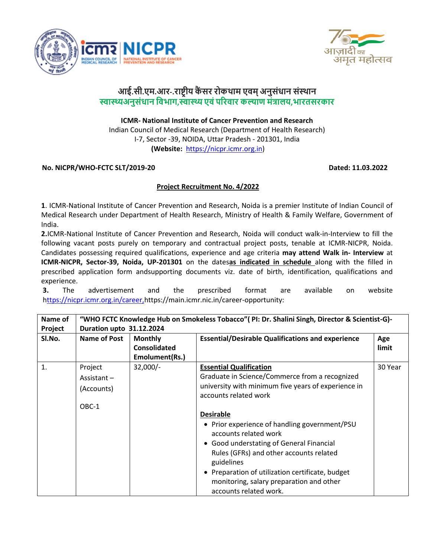



# **आई.सी .एम .आर-.राष्ट्रीय कैं सर रोकथाम एवम ्अनुसंधान संस्थान स्वास्थ्यअनुसंधान ववभाग,स्वास्थ्यएवंपररवार कल्याण मंत्रालय,भारतसरकार**

**ICMR- National Institute of Cancer Prevention and Research**  Indian Council of Medical Research (Department of Health Research) I-7, Sector -39, NOIDA, Uttar Pradesh - 201301, India **(Website:** [https://nicpr.icmr.org.in\)](https://nicpr.icmr.org.in/)

## **No. NICPR/WHO-FCTC SLT/2019-20 Dated: 11.03.2022**

## **Project Recruitment No. 4/2022**

**1**. ICMR-National Institute of Cancer Prevention and Research, Noida is a premier Institute of Indian Council of Medical Research under Department of Health Research, Ministry of Health & Family Welfare, Government of India.

**2.**ICMR-National Institute of Cancer Prevention and Research, Noida will conduct walk-in-Interview to fill the following vacant posts purely on temporary and contractual project posts, tenable at ICMR-NICPR, Noida. Candidates possessing required qualifications, experience and age criteria **may attend Walk in- Interview** at **ICMR-NICPR, Sector-39, Noida, UP-201301** on the dates**as indicated in schedule** along with the filled in prescribed application form andsupporting documents viz. date of birth, identification, qualifications and experience.

**3.** The advertisement and the prescribed format are available on website [https://nicpr.icmr.org.in/career,](ttps://nicpr.icmr.org.in/career,)[https://main.icmr.nic.in/career-opportunity:](https://main.icmr.nic.in/career-opportunity)

| Name of | "WHO FCTC Knowledge Hub on Smokeless Tobacco" (PI: Dr. Shalini Singh, Director & Scientist-G)- |                     |                                                          |         |  |  |  |  |  |  |  |  |  |
|---------|------------------------------------------------------------------------------------------------|---------------------|----------------------------------------------------------|---------|--|--|--|--|--|--|--|--|--|
| Project | Duration upto 31.12.2024                                                                       |                     |                                                          |         |  |  |  |  |  |  |  |  |  |
| SI.No.  | <b>Name of Post</b>                                                                            | <b>Monthly</b>      | <b>Essential/Desirable Qualifications and experience</b> |         |  |  |  |  |  |  |  |  |  |
|         |                                                                                                | <b>Consolidated</b> |                                                          | limit   |  |  |  |  |  |  |  |  |  |
|         |                                                                                                | Emolument(Rs.)      |                                                          |         |  |  |  |  |  |  |  |  |  |
| 1.      | Project                                                                                        | $32,000/-$          | <b>Essential Qualification</b>                           | 30 Year |  |  |  |  |  |  |  |  |  |
|         | Assistant $-$                                                                                  |                     | Graduate in Science/Commerce from a recognized           |         |  |  |  |  |  |  |  |  |  |
|         | (Accounts)                                                                                     |                     | university with minimum five years of experience in      |         |  |  |  |  |  |  |  |  |  |
|         |                                                                                                |                     | accounts related work                                    |         |  |  |  |  |  |  |  |  |  |
|         | OBC-1                                                                                          |                     |                                                          |         |  |  |  |  |  |  |  |  |  |
|         |                                                                                                |                     | <b>Desirable</b>                                         |         |  |  |  |  |  |  |  |  |  |
|         |                                                                                                |                     | • Prior experience of handling government/PSU            |         |  |  |  |  |  |  |  |  |  |
|         |                                                                                                |                     | accounts related work                                    |         |  |  |  |  |  |  |  |  |  |
|         |                                                                                                |                     | • Good understating of General Financial                 |         |  |  |  |  |  |  |  |  |  |
|         |                                                                                                |                     | Rules (GFRs) and other accounts related                  |         |  |  |  |  |  |  |  |  |  |
|         |                                                                                                |                     | guidelines                                               |         |  |  |  |  |  |  |  |  |  |
|         |                                                                                                |                     | • Preparation of utilization certificate, budget         |         |  |  |  |  |  |  |  |  |  |
|         |                                                                                                |                     | monitoring, salary preparation and other                 |         |  |  |  |  |  |  |  |  |  |
|         |                                                                                                |                     | accounts related work.                                   |         |  |  |  |  |  |  |  |  |  |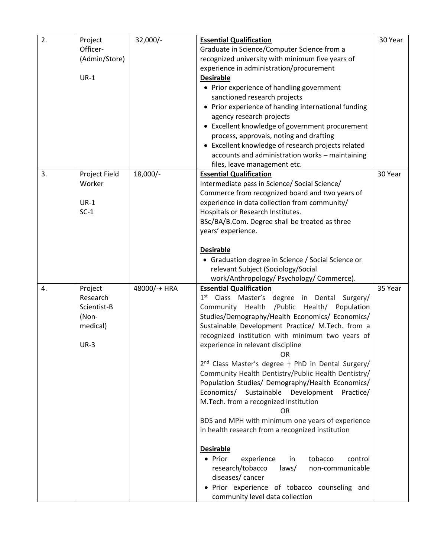| 2. | Project       | $32,000/-$   | <b>Essential Qualification</b>                                 | 30 Year |
|----|---------------|--------------|----------------------------------------------------------------|---------|
|    | Officer-      |              | Graduate in Science/Computer Science from a                    |         |
|    | (Admin/Store) |              | recognized university with minimum five years of               |         |
|    |               |              | experience in administration/procurement                       |         |
|    | $UR-1$        |              | <b>Desirable</b>                                               |         |
|    |               |              | • Prior experience of handling government                      |         |
|    |               |              | sanctioned research projects                                   |         |
|    |               |              | • Prior experience of handing international funding            |         |
|    |               |              | agency research projects                                       |         |
|    |               |              | • Excellent knowledge of government procurement                |         |
|    |               |              | process, approvals, noting and drafting                        |         |
|    |               |              | • Excellent knowledge of research projects related             |         |
|    |               |              | accounts and administration works - maintaining                |         |
|    |               |              | files, leave management etc.                                   |         |
| 3. | Project Field | 18,000/-     | <b>Essential Qualification</b>                                 | 30 Year |
|    | Worker        |              | Intermediate pass in Science/ Social Science/                  |         |
|    |               |              | Commerce from recognized board and two years of                |         |
|    | $UR-1$        |              | experience in data collection from community/                  |         |
|    | $SC-1$        |              | Hospitals or Research Institutes.                              |         |
|    |               |              | BSc/BA/B.Com. Degree shall be treated as three                 |         |
|    |               |              | years' experience.                                             |         |
|    |               |              |                                                                |         |
|    |               |              | <b>Desirable</b>                                               |         |
|    |               |              | • Graduation degree in Science / Social Science or             |         |
|    |               |              | relevant Subject (Sociology/Social                             |         |
|    |               |              | work/Anthropology/ Psychology/ Commerce).                      |         |
| 4. | Project       | 48000/-+ HRA | <b>Essential Qualification</b>                                 | 35 Year |
|    | Research      |              | 1 <sup>st</sup> Class Master's degree in Dental Surgery/       |         |
|    | Scientist-B   |              | Community Health / Public Health/ Population                   |         |
|    | (Non-         |              | Studies/Demography/Health Economics/ Economics/                |         |
|    | medical)      |              | Sustainable Development Practice/ M.Tech. from a               |         |
|    |               |              | recognized institution with minimum two years of               |         |
|    | $UR-3$        |              | experience in relevant discipline                              |         |
|    |               |              | <b>OR</b>                                                      |         |
|    |               |              | 2 <sup>nd</sup> Class Master's degree + PhD in Dental Surgery/ |         |
|    |               |              | Community Health Dentistry/Public Health Dentistry/            |         |
|    |               |              | Population Studies/ Demography/Health Economics/               |         |
|    |               |              | Economics/ Sustainable Development<br>Practice/                |         |
|    |               |              | M.Tech. from a recognized institution                          |         |
|    |               |              | <b>OR</b>                                                      |         |
|    |               |              | BDS and MPH with minimum one years of experience               |         |
|    |               |              | in health research from a recognized institution               |         |
|    |               |              |                                                                |         |
|    |               |              | <b>Desirable</b>                                               |         |
|    |               |              | • Prior<br>tobacco<br>experience<br>in<br>control              |         |
|    |               |              | research/tobacco<br>laws/<br>non-communicable                  |         |
|    |               |              | diseases/cancer                                                |         |
|    |               |              | · Prior experience of tobacco counseling and                   |         |
|    |               |              | community level data collection                                |         |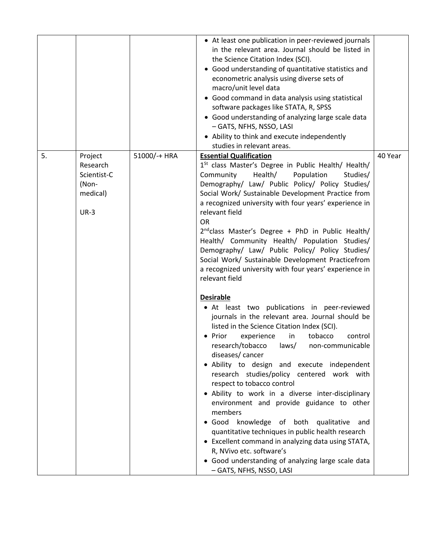|    |                                                                   |              | • At least one publication in peer-reviewed journals<br>in the relevant area. Journal should be listed in<br>the Science Citation Index (SCI).<br>• Good understanding of quantitative statistics and<br>econometric analysis using diverse sets of<br>macro/unit level data<br>• Good command in data analysis using statistical<br>software packages like STATA, R, SPSS<br>• Good understanding of analyzing large scale data<br>- GATS, NFHS, NSSO, LASI<br>• Ability to think and execute independently<br>studies in relevant areas.                                                                                                                                                                                                                                                                                                                                                                                                                                                                                                                                                                                                                                                                                                                                                                                                                                                                                                                              |         |
|----|-------------------------------------------------------------------|--------------|-------------------------------------------------------------------------------------------------------------------------------------------------------------------------------------------------------------------------------------------------------------------------------------------------------------------------------------------------------------------------------------------------------------------------------------------------------------------------------------------------------------------------------------------------------------------------------------------------------------------------------------------------------------------------------------------------------------------------------------------------------------------------------------------------------------------------------------------------------------------------------------------------------------------------------------------------------------------------------------------------------------------------------------------------------------------------------------------------------------------------------------------------------------------------------------------------------------------------------------------------------------------------------------------------------------------------------------------------------------------------------------------------------------------------------------------------------------------------|---------|
| 5. | Project<br>Research<br>Scientist-C<br>(Non-<br>medical)<br>$UR-3$ | 51000/-+ HRA | <b>Essential Qualification</b><br>1 <sup>St</sup> class Master's Degree in Public Health/ Health/<br>Population<br>Community<br>Health/<br>Studies/<br>Demography/ Law/ Public Policy/ Policy Studies/<br>Social Work/ Sustainable Development Practice from<br>a recognized university with four years' experience in<br>relevant field<br><b>OR</b><br>2 <sup>nd</sup> class Master's Degree + PhD in Public Health/<br>Health/ Community Health/ Population Studies/<br>Demography/ Law/ Public Policy/ Policy Studies/<br>Social Work/ Sustainable Development Practicefrom<br>a recognized university with four years' experience in<br>relevant field<br><b>Desirable</b><br>• At least two publications in peer-reviewed<br>journals in the relevant area. Journal should be<br>listed in the Science Citation Index (SCI).<br>tobacco<br>Prior<br>experience<br>in<br>control<br>research/tobacco<br>non-communicable<br>laws/<br>diseases/cancer<br>Ability to design and execute independent<br>research studies/policy centered work with<br>respect to tobacco control<br>• Ability to work in a diverse inter-disciplinary<br>environment and provide guidance to other<br>members<br>· Good knowledge of both qualitative<br>and<br>quantitative techniques in public health research<br>• Excellent command in analyzing data using STATA,<br>R, NVivo etc. software's<br>• Good understanding of analyzing large scale data<br>- GATS, NFHS, NSSO, LASI | 40 Year |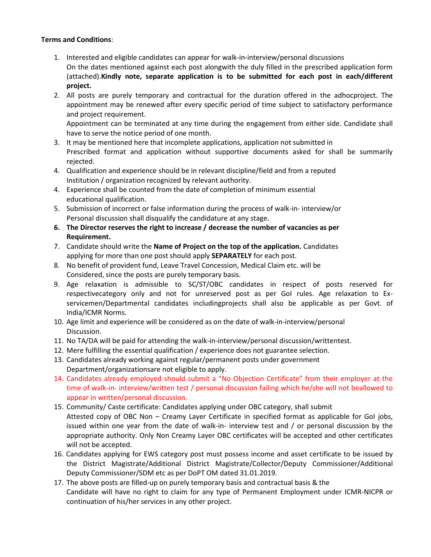### **Terms and Conditions**:

- 1. Interested and eligible candidates can appear for walk-in-interview/personal discussions On the dates mentioned against each post alongwith the duly filled in the prescribed application form (attached).**Kindly note, separate application is to be submitted for each post in each/different project.**
- 2. All posts are purely temporary and contractual for the duration offered in the adhocproject. The appointment may be renewed after every specific period of time subject to satisfactory performance and project requirement.

Appointment can be terminated at any time during the engagement from either side. Candidate shall have to serve the notice period of one month.

- 3. It may be mentioned here that incomplete applications, application not submitted in Prescribed format and application without supportive documents asked for shall be summarily rejected.
- 4. Qualification and experience should be in relevant discipline/field and from a reputed Institution / organization recognized by relevant authority.
- 4. Experience shall be counted from the date of completion of minimum essential educational qualification.
- 5. Submission of incorrect or false information during the process of walk-in- interview/or Personal discussion shall disqualify the candidature at any stage.
- **6. The Director reserves the right to increase / decrease the number of vacancies as per Requirement.**
- 7. Candidate should write the **Name of Project on the top of the application.** Candidates applying for more than one post should apply **SEPARATELY** for each post.
- 8. No benefit of provident fund, Leave Travel Concession, Medical Claim etc. will be Considered, since the posts are purely temporary basis.
- 9. Age relaxation is admissible to SC/ST/OBC candidates in respect of posts reserved for respectivecategory only and not for unreserved post as per GoI rules. Age relaxation to Exservicemen/Departmental candidates includingprojects shall also be applicable as per Govt. of India/ICMR Norms.
- 10. Age limit and experience will be considered as on the date of walk-in-interview/personal Discussion.
- 11. No TA/DA will be paid for attending the walk-in-interview/personal discussion/writtentest.
- 12. Mere fulfilling the essential qualification / experience does not guarantee selection.
- 13. Candidates already working against regular/permanent posts under government Department/organizationsare not eligible to apply.
- 14. Candidates already employed should submit a "No Objection Certificate" from their employer at the time of walk-in- interview/written test / personal discussion failing which he/she will not beallowed to appear in written/personal discussion.
- 15. Community/ Caste certificate: Candidates applying under OBC category, shall submit Attested copy of OBC Non – Creamy Layer Certificate in specified format as applicable for GoI jobs, issued within one year from the date of walk-in- interview test and / or personal discussion by the appropriate authority. Only Non Creamy Layer OBC certificates will be accepted and other certificates will not be accepted.
- 16. Candidates applying for EWS category post must possess income and asset certificate to be issued by the District Magistrate/Additional District Magistrate/Collector/Deputy Commissioner/Additional Deputy Commissioner/SDM etc as per DoPT OM dated 31.01.2019.
- 17. The above posts are filled-up on purely temporary basis and contractual basis & the Candidate will have no right to claim for any type of Permanent Employment under ICMR-NICPR or continuation of his/her services in any other project.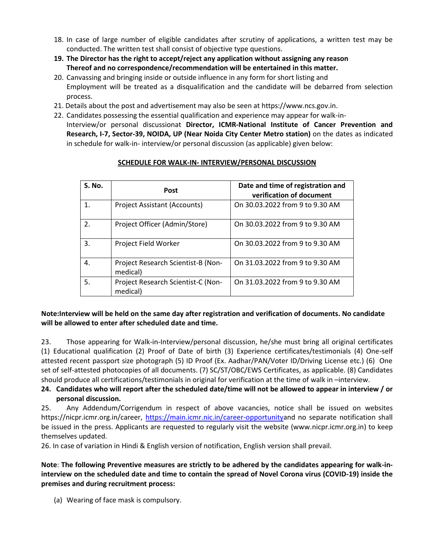- 18. In case of large number of eligible candidates after scrutiny of applications, a written test may be conducted. The written test shall consist of objective type questions.
- **19. The Director has the right to accept/reject any application without assigning any reason Thereof and no correspondence/recommendation will be entertained in this matter.**
- 20. Canvassing and bringing inside or outside influence in any form for short listing and Employment will be treated as a disqualification and the candidate will be debarred from selection process.
- 21. Details about the post and advertisement may also be seen at https://www.ncs.gov.in.
- 22. Candidates possessing the essential qualification and experience may appear for walk-in-Interview/or personal discussionat **Director, ICMR-National Institute of Cancer Prevention and Research, I-7, Sector-39, NOIDA, UP (Near Noida City Center Metro station)** on the dates as indicated in schedule for walk-in- interview/or personal discussion (as applicable) given below:

| S. No.         | <b>Post</b>                                    | Date and time of registration and<br>verification of document |
|----------------|------------------------------------------------|---------------------------------------------------------------|
| $\mathbf{1}$ . | Project Assistant (Accounts)                   | On 30.03.2022 from 9 to 9.30 AM                               |
| 2.             | Project Officer (Admin/Store)                  | On 30.03.2022 from 9 to 9.30 AM                               |
| 3.             | Project Field Worker                           | On 30.03.2022 from 9 to 9.30 AM                               |
| 4.             | Project Research Scientist-B (Non-<br>medical) | On 31.03.2022 from 9 to 9.30 AM                               |
| 5.             | Project Research Scientist-C (Non-<br>medical) | On 31.03.2022 from 9 to 9.30 AM                               |

### **SCHEDULE FOR WALK-IN- INTERVIEW/PERSONAL DISCUSSION**

## **Note:Interview will be held on the same day after registration and verification of documents. No candidate will be allowed to enter after scheduled date and time.**

23. Those appearing for Walk-in-Interview/personal discussion, he/she must bring all original certificates (1) Educational qualification (2) Proof of Date of birth (3) Experience certificates/testimonials (4) One-self attested recent passport size photograph (5) ID Proof (Ex. Aadhar/PAN/Voter ID/Driving License etc.) (6) One set of self-attested photocopies of all documents. (7) SC/ST/OBC/EWS Certificates, as applicable. (8) Candidates should produce all certifications/testimonials in original for verification at the time of walk in –interview.

### **24. Candidates who will report after the scheduled date/time will not be allowed to appear in interview / or personal discussion.**

25. Any Addendum/Corrigendum in respect of above vacancies, notice shall be issued on websites https://nicpr.icmr.org.in/career, [https://main.icmr.nic.in/career-opportunitya](https://main.icmr.nic.in/career-opportunity)nd no separate notification shall be issued in the press. Applicants are requested to regularly visit the website (www.nicpr.icmr.org.in) to keep themselves updated.

26. In case of variation in Hindi & English version of notification, English version shall prevail.

**Note**: **The following Preventive measures are strictly to be adhered by the candidates appearing for walk-ininterview on the scheduled date and time to contain the spread of Novel Corona virus (COVID-19) inside the premises and during recruitment process:** 

(a) Wearing of face mask is compulsory.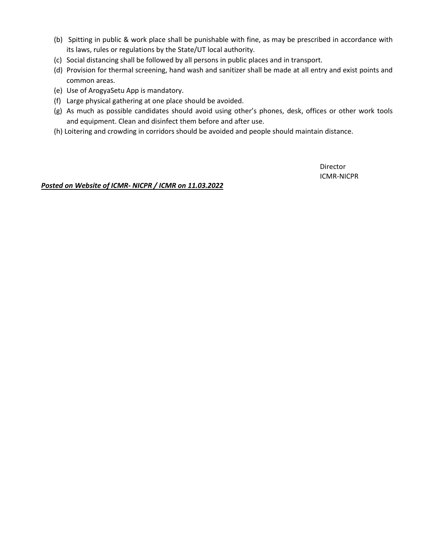- (b) Spitting in public & work place shall be punishable with fine, as may be prescribed in accordance with its laws, rules or regulations by the State/UT local authority.
- (c) Social distancing shall be followed by all persons in public places and in transport.
- (d) Provision for thermal screening, hand wash and sanitizer shall be made at all entry and exist points and common areas.
- (e) Use of ArogyaSetu App is mandatory.
- (f) Large physical gathering at one place should be avoided.
- (g) As much as possible candidates should avoid using other's phones, desk, offices or other work tools and equipment. Clean and disinfect them before and after use.
- (h) Loitering and crowding in corridors should be avoided and people should maintain distance.

Director ICMR-NICPR

*Posted on Website of ICMR- NICPR / ICMR on 11.03.2022*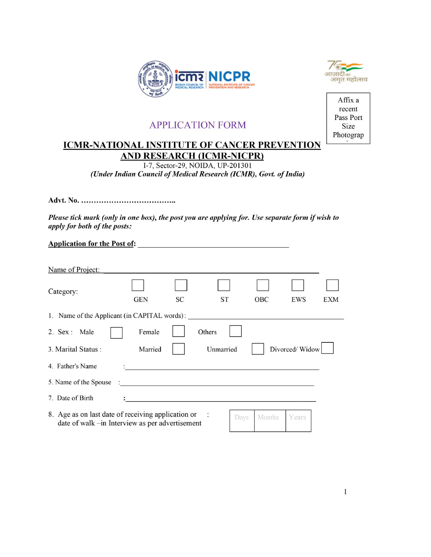



# **APPLICATION FORM**

# **ICMR-NATIONAL INSTITUTE OF CANCER PREVENTION AND RESEARCH (ICMR-NICPR)**

I-7, Sector-29, NOIDA, UP-201301 (Under Indian Council of Medical Research (ICMR), Govt. of India)

Please tick mark (only in one box), the post you are applying for. Use separate form if wish to apply for both of the posts:

**Application for the Post of:** 

| Name of Project:                                                                                      |                                              |           |           |      |            |                |     |
|-------------------------------------------------------------------------------------------------------|----------------------------------------------|-----------|-----------|------|------------|----------------|-----|
| Category:                                                                                             | <b>GEN</b>                                   | <b>SC</b> | ST        |      | <b>OBC</b> | EWS            | EXM |
| 1. Name of the Applicant (in CAPITAL words):                                                          |                                              |           |           |      |            |                |     |
| 2. Sex : Male                                                                                         | Female                                       |           | Others    |      |            |                |     |
| 3. Marital Status:                                                                                    | Married                                      |           | Unmarried |      |            | Divorced/Widow |     |
| 4. Father's Name                                                                                      |                                              |           |           |      |            |                |     |
| 5. Name of the Spouse                                                                                 | <u> 1980 - Andrea Andrew Maria (b. 1980)</u> |           |           |      |            |                |     |
| 7. Date of Birth                                                                                      |                                              |           |           |      |            |                |     |
| 8. Age as on last date of receiving application or<br>date of walk -in Interview as per advertisement |                                              |           |           | Days | Months     | Years          |     |

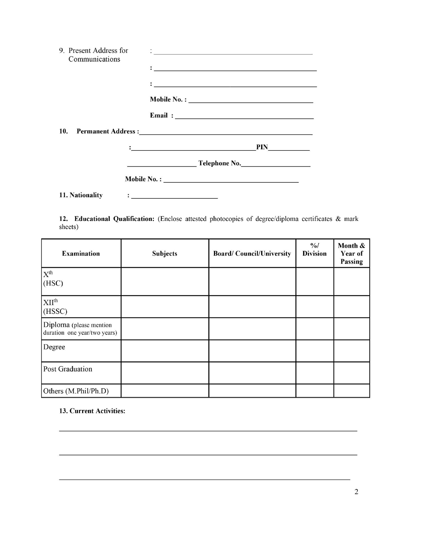| 9. Present Address for | $\mathcal{A}_\text{max}$ . The contract of the contract of the contract of the contract of the contract of the contract of the contract of the contract of the contract of the contract of the contract of the contract of the contract  |
|------------------------|------------------------------------------------------------------------------------------------------------------------------------------------------------------------------------------------------------------------------------------|
| Communications         |                                                                                                                                                                                                                                          |
|                        |                                                                                                                                                                                                                                          |
|                        |                                                                                                                                                                                                                                          |
|                        |                                                                                                                                                                                                                                          |
|                        |                                                                                                                                                                                                                                          |
|                        |                                                                                                                                                                                                                                          |
|                        |                                                                                                                                                                                                                                          |
|                        |                                                                                                                                                                                                                                          |
|                        |                                                                                                                                                                                                                                          |
|                        |                                                                                                                                                                                                                                          |
|                        |                                                                                                                                                                                                                                          |
|                        |                                                                                                                                                                                                                                          |
|                        | PIN<br>$\mathbf{E}$ . The contract of the contract of the contract of the contract of the contract of the contract of the contract of the contract of the contract of the contract of the contract of the contract of the contract of th |
|                        |                                                                                                                                                                                                                                          |
|                        | <b>Example 2.1 Telephone No.</b> The series of the series of the series of the series of the series of the series of the series of the series of the series of the series of the series of the series of the series of the series o      |
|                        |                                                                                                                                                                                                                                          |
|                        |                                                                                                                                                                                                                                          |
|                        |                                                                                                                                                                                                                                          |
|                        |                                                                                                                                                                                                                                          |
| 11. Nationality        | <u> : _ _ _ _ _ _ _ _ _ _ _ _ _ _ _</u>                                                                                                                                                                                                  |

12. Educational Qualification: (Enclose attested photocopies of degree/diploma certificates & mark sheets)

| <b>Examination</b>                                      | <b>Subjects</b> | <b>Board/Council/University</b> | $\frac{9}{6}$<br><b>Division</b> | Month &<br>Year of<br>Passing |
|---------------------------------------------------------|-----------------|---------------------------------|----------------------------------|-------------------------------|
| $X^{th}$<br>(HSC)                                       |                 |                                 |                                  |                               |
| XII <sup>th</sup><br>(HSSC)                             |                 |                                 |                                  |                               |
| Diploma (please mention<br>duration one year/two years) |                 |                                 |                                  |                               |
| Degree                                                  |                 |                                 |                                  |                               |
| <b>Post Graduation</b>                                  |                 |                                 |                                  |                               |
| Others (M.Phil/Ph.D)                                    |                 |                                 |                                  |                               |

# 13. Current Activities: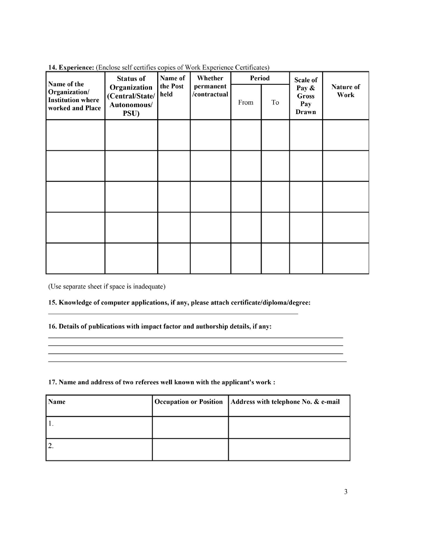| <b>14. Experience,</b> (Encrose sen centrities copies of work Experience centricates)<br>Name of the<br>Organization/<br><b>Institution where</b> | <b>Status of</b>                                       | Name of          | Whether                   | Period |    | <b>Scale of</b>                       |                   |
|---------------------------------------------------------------------------------------------------------------------------------------------------|--------------------------------------------------------|------------------|---------------------------|--------|----|---------------------------------------|-------------------|
| worked and Place                                                                                                                                  | Organization<br>(Central/State/<br>Autonomous/<br>PSU) | the Post<br>held | permanent<br>/contractual | From   | To | Pay &<br><b>Gross</b><br>Pay<br>Drawn | Nature of<br>Work |
|                                                                                                                                                   |                                                        |                  |                           |        |    |                                       |                   |
|                                                                                                                                                   |                                                        |                  |                           |        |    |                                       |                   |
|                                                                                                                                                   |                                                        |                  |                           |        |    |                                       |                   |
|                                                                                                                                                   |                                                        |                  |                           |        |    |                                       |                   |
|                                                                                                                                                   |                                                        |                  |                           |        |    |                                       |                   |

14. Experience: (Enclose self certifies copies of Work Experience Certificates)

(Use separate sheet if space is inadequate)

### 15. Knowledge of computer applications, if any, please attach certificate/diploma/degree:

### 16. Details of publications with impact factor and authorship details, if any:

#### 17. Name and address of two referees well known with the applicant's work :

| Name             | <b>Occupation or Position</b> | Address with telephone No. & e-mail |
|------------------|-------------------------------|-------------------------------------|
|                  |                               |                                     |
| $\overline{2}$ . |                               |                                     |